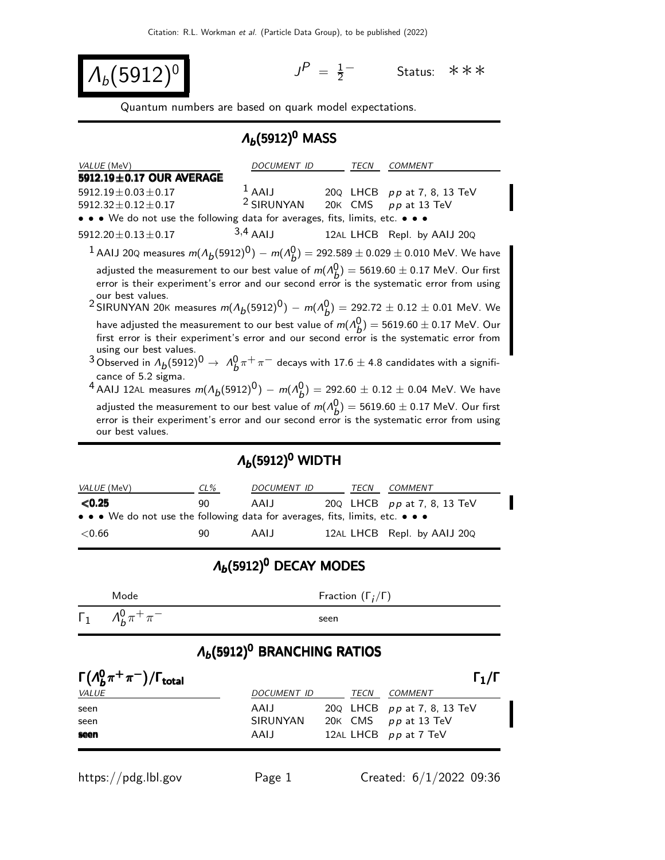$\Lambda_b(5912)^0$ 

 $P = \frac{1}{2}$ 2 <sup>−</sup> Status: ∗∗∗

Quantum numbers are based on quark model expectations.

#### $Λ<sub>b</sub>(5912)<sup>0</sup>$  MASS

| VALUE (MeV)                                                                                                                                                                                                                                                                                                                                                                                                                                                                      | <b>DOCUMENT ID</b>    |         | TECN | COMMENT                     |  |  |  |
|----------------------------------------------------------------------------------------------------------------------------------------------------------------------------------------------------------------------------------------------------------------------------------------------------------------------------------------------------------------------------------------------------------------------------------------------------------------------------------|-----------------------|---------|------|-----------------------------|--|--|--|
| 5912.19±0.17 OUR AVERAGE                                                                                                                                                                                                                                                                                                                                                                                                                                                         |                       |         |      |                             |  |  |  |
| $5912.19 \pm 0.03 \pm 0.17$                                                                                                                                                                                                                                                                                                                                                                                                                                                      | $^1$ AAIJ             |         |      | 20Q LHCB pp at 7, 8, 13 TeV |  |  |  |
| $5912.32 \pm 0.12 \pm 0.17$                                                                                                                                                                                                                                                                                                                                                                                                                                                      | <sup>2</sup> SIRUNYAN | 20K CMS |      | pp at 13 TeV                |  |  |  |
| • • • We do not use the following data for averages, fits, limits, etc. • • •                                                                                                                                                                                                                                                                                                                                                                                                    |                       |         |      |                             |  |  |  |
| $5912.20 \pm 0.13 \pm 0.17$                                                                                                                                                                                                                                                                                                                                                                                                                                                      | $3,4$ AAIJ            |         |      | 12AL LHCB Repl. by AAIJ 20Q |  |  |  |
| <sup>1</sup> AAIJ 20Q measures $m(A_b(5912)^0) - m(A_b^0) = 292.589 \pm 0.029 \pm 0.010$ MeV. We have                                                                                                                                                                                                                                                                                                                                                                            |                       |         |      |                             |  |  |  |
| adjusted the measurement to our best value of $m(A_h^0) = 5619.60 \pm 0.17$ MeV. Our first<br>error is their experiment's error and our second error is the systematic error from using<br>our best values.<br><sup>2</sup> SIRUNYAN 20K measures $m(A_b(5912)^0) - m(A_b^0) = 292.72 \pm 0.12 \pm 0.01$ MeV. We                                                                                                                                                                 |                       |         |      |                             |  |  |  |
| have adjusted the measurement to our best value of $m(A_h^0) = 5619.60 \pm 0.17$ MeV. Our<br>first error is their experiment's error and our second error is the systematic error from<br>using our best values.<br><sup>3</sup> Observed in $\Lambda_b(5912)^0 \to \Lambda_b^0 \pi^+ \pi^-$ decays with 17.6 $\pm$ 4.8 candidates with a signifi-<br>cance of 5.2 sigma.<br><sup>4</sup> AAIJ 12AL measures $m(A_b(5912)^0) - m(A_b^0) = 292.60 \pm 0.12 \pm 0.04$ MeV. We have |                       |         |      |                             |  |  |  |
| adjusted the measurement to our best value of $m(A_h^0) = 5619.60 \pm 0.17$ MeV. Our first<br>error is their experiment's error and our second error is the systematic error from using<br>our best values.                                                                                                                                                                                                                                                                      |                       |         |      |                             |  |  |  |

#### $Λ<sub>b</sub>$ (5912)<sup>0</sup> WIDTH

| <i>VALUE</i> (MeV)                                                            | $CL\%$ | DOCUMENT ID | TECN | COMMENT                          |
|-------------------------------------------------------------------------------|--------|-------------|------|----------------------------------|
| $\langle 0.25$                                                                | 90     | AAIJ        |      | 20 $Q$ LHCB $pp$ at 7, 8, 13 TeV |
| • • • We do not use the following data for averages, fits, limits, etc. • • • |        |             |      |                                  |
| $<$ 0.66                                                                      | 90     | AAIJ        |      | 12AL LHCB Repl. by AAIJ 20Q      |

## $Λ<sub>b</sub>(5912)<sup>0</sup>$  DECAY MODES

Mode Fraction  $(\Gamma_j/\Gamma)$ 

 $\frac{0}{b} \pi^+ \pi$ 

 $Γ_1$   $Λ_b^0$ 

−<br>− seen

### $\Lambda_b$ (5912)<sup>0</sup> BRANCHING RATIOS

| $\Gamma(\Lambda_b^0\pi^+\pi^-)/\Gamma_{\rm total}$ |             |      | $\Gamma_1/\Gamma$                |
|----------------------------------------------------|-------------|------|----------------------------------|
| <i>VALUE</i>                                       | DOCUMENT ID | TECN | <i>COMMENT</i>                   |
| seen                                               | AAIJ        |      | 20 $Q$ LHCB $pp$ at 7, 8, 13 TeV |
| seen                                               | SIRUNYAN    |      | 20K CMS $pp$ at 13 TeV           |
| seen                                               | AAIJ        |      | 12AL LHCB pp at 7 TeV            |

https://pdg.lbl.gov Page 1 Created: 6/1/2022 09:36